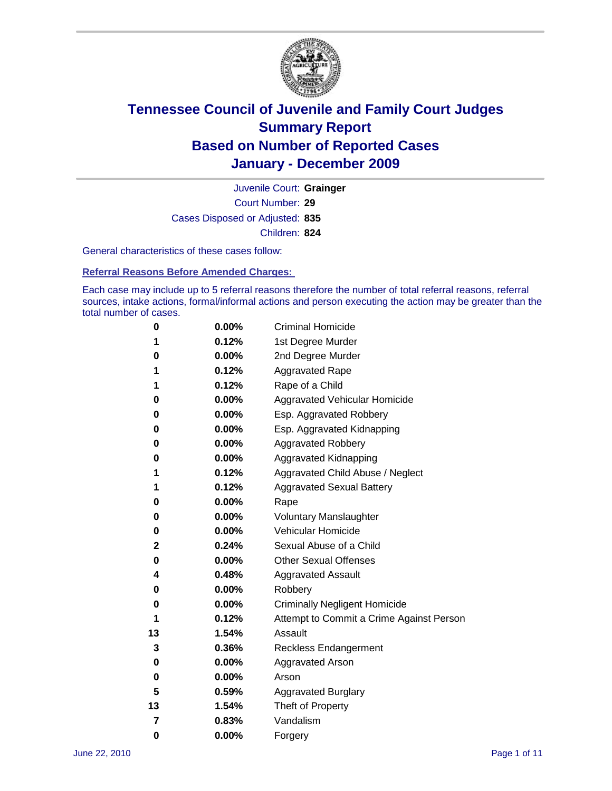

Court Number: **29** Juvenile Court: **Grainger** Cases Disposed or Adjusted: **835** Children: **824**

General characteristics of these cases follow:

**Referral Reasons Before Amended Charges:** 

Each case may include up to 5 referral reasons therefore the number of total referral reasons, referral sources, intake actions, formal/informal actions and person executing the action may be greater than the total number of cases.

| 0  | 0.00% | <b>Criminal Homicide</b>                 |
|----|-------|------------------------------------------|
| 1  | 0.12% | 1st Degree Murder                        |
| 0  | 0.00% | 2nd Degree Murder                        |
| 1  | 0.12% | <b>Aggravated Rape</b>                   |
| 1  | 0.12% | Rape of a Child                          |
| 0  | 0.00% | Aggravated Vehicular Homicide            |
| 0  | 0.00% | Esp. Aggravated Robbery                  |
| 0  | 0.00% | Esp. Aggravated Kidnapping               |
| 0  | 0.00% | <b>Aggravated Robbery</b>                |
| 0  | 0.00% | Aggravated Kidnapping                    |
| 1  | 0.12% | Aggravated Child Abuse / Neglect         |
| 1  | 0.12% | <b>Aggravated Sexual Battery</b>         |
| 0  | 0.00% | Rape                                     |
| 0  | 0.00% | <b>Voluntary Manslaughter</b>            |
| 0  | 0.00% | Vehicular Homicide                       |
| 2  | 0.24% | Sexual Abuse of a Child                  |
| 0  | 0.00% | <b>Other Sexual Offenses</b>             |
| 4  | 0.48% | <b>Aggravated Assault</b>                |
| 0  | 0.00% | Robbery                                  |
| 0  | 0.00% | <b>Criminally Negligent Homicide</b>     |
| 1  | 0.12% | Attempt to Commit a Crime Against Person |
| 13 | 1.54% | Assault                                  |
| 3  | 0.36% | <b>Reckless Endangerment</b>             |
| 0  | 0.00% | <b>Aggravated Arson</b>                  |
| 0  | 0.00% | Arson                                    |
| 5  | 0.59% | <b>Aggravated Burglary</b>               |
| 13 | 1.54% | Theft of Property                        |
| 7  | 0.83% | Vandalism                                |
| 0  | 0.00% | Forgery                                  |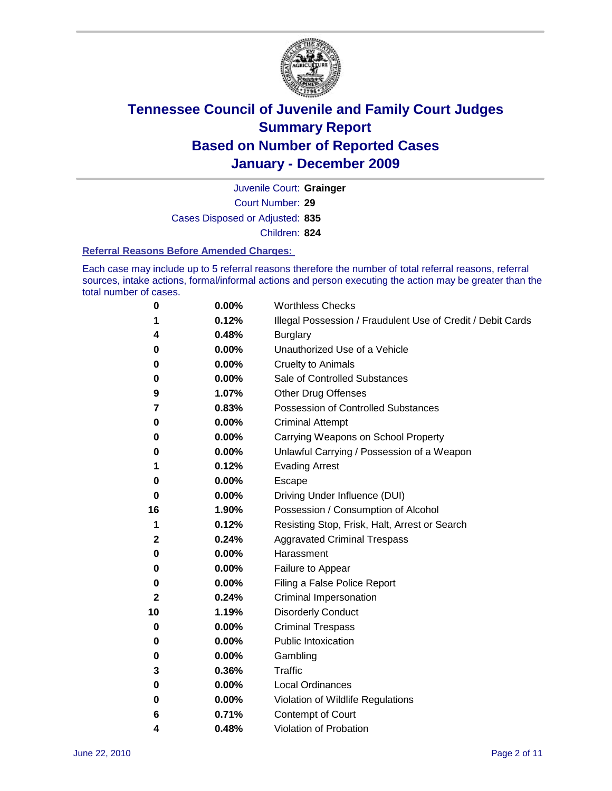

Court Number: **29** Juvenile Court: **Grainger** Cases Disposed or Adjusted: **835**

Children: **824**

#### **Referral Reasons Before Amended Charges:**

Each case may include up to 5 referral reasons therefore the number of total referral reasons, referral sources, intake actions, formal/informal actions and person executing the action may be greater than the total number of cases.

| 0            | 0.00%    | <b>Worthless Checks</b>                                     |
|--------------|----------|-------------------------------------------------------------|
| 1            | 0.12%    | Illegal Possession / Fraudulent Use of Credit / Debit Cards |
| 4            | 0.48%    | <b>Burglary</b>                                             |
| 0            | 0.00%    | Unauthorized Use of a Vehicle                               |
| 0            | 0.00%    | <b>Cruelty to Animals</b>                                   |
| 0            | 0.00%    | Sale of Controlled Substances                               |
| 9            | 1.07%    | <b>Other Drug Offenses</b>                                  |
| 7            | 0.83%    | <b>Possession of Controlled Substances</b>                  |
| 0            | 0.00%    | <b>Criminal Attempt</b>                                     |
| 0            | 0.00%    | Carrying Weapons on School Property                         |
| 0            | 0.00%    | Unlawful Carrying / Possession of a Weapon                  |
| 1            | 0.12%    | <b>Evading Arrest</b>                                       |
| 0            | 0.00%    | Escape                                                      |
| 0            | 0.00%    | Driving Under Influence (DUI)                               |
| 16           | 1.90%    | Possession / Consumption of Alcohol                         |
| 1            | 0.12%    | Resisting Stop, Frisk, Halt, Arrest or Search               |
| $\mathbf{2}$ | 0.24%    | <b>Aggravated Criminal Trespass</b>                         |
| 0            | 0.00%    | Harassment                                                  |
| 0            | 0.00%    | Failure to Appear                                           |
| 0            | 0.00%    | Filing a False Police Report                                |
| 2            | 0.24%    | Criminal Impersonation                                      |
| 10           | 1.19%    | <b>Disorderly Conduct</b>                                   |
| 0            | 0.00%    | <b>Criminal Trespass</b>                                    |
| 0            | 0.00%    | <b>Public Intoxication</b>                                  |
| 0            | $0.00\%$ | Gambling                                                    |
| 3            | 0.36%    | Traffic                                                     |
| 0            | $0.00\%$ | <b>Local Ordinances</b>                                     |
| 0            | 0.00%    | Violation of Wildlife Regulations                           |
| 6            | 0.71%    | Contempt of Court                                           |
| 4            | 0.48%    | Violation of Probation                                      |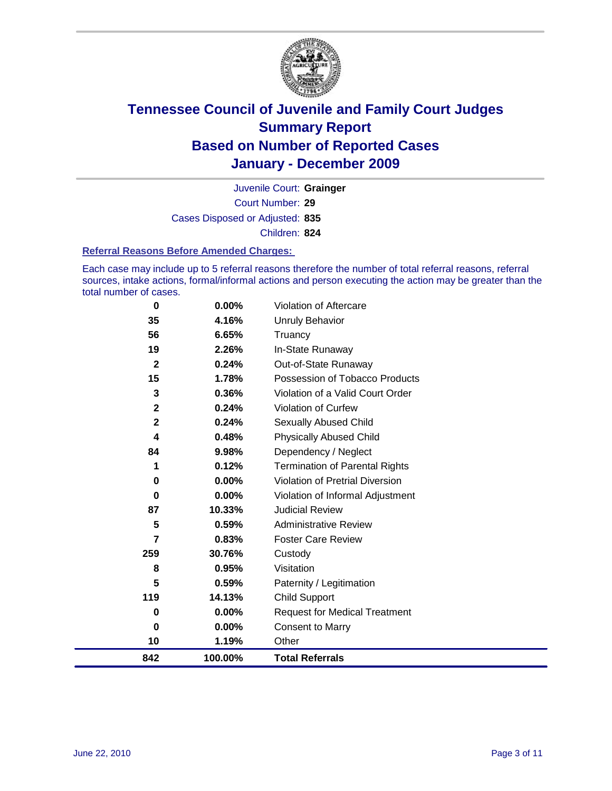

Court Number: **29** Juvenile Court: **Grainger** Cases Disposed or Adjusted: **835** Children: **824**

#### **Referral Reasons Before Amended Charges:**

Each case may include up to 5 referral reasons therefore the number of total referral reasons, referral sources, intake actions, formal/informal actions and person executing the action may be greater than the total number of cases.

| 0                       | 0.00%   | Violation of Aftercare                 |
|-------------------------|---------|----------------------------------------|
| 35                      | 4.16%   | <b>Unruly Behavior</b>                 |
| 56                      | 6.65%   | Truancy                                |
| 19                      | 2.26%   | In-State Runaway                       |
| $\mathbf{2}$            | 0.24%   | Out-of-State Runaway                   |
| 15                      | 1.78%   | Possession of Tobacco Products         |
| 3                       | 0.36%   | Violation of a Valid Court Order       |
| $\overline{\mathbf{2}}$ | 0.24%   | <b>Violation of Curfew</b>             |
| $\mathbf{2}$            | 0.24%   | Sexually Abused Child                  |
| 4                       | 0.48%   | <b>Physically Abused Child</b>         |
| 84                      | 9.98%   | Dependency / Neglect                   |
| 1                       | 0.12%   | <b>Termination of Parental Rights</b>  |
| 0                       | 0.00%   | <b>Violation of Pretrial Diversion</b> |
| 0                       | 0.00%   | Violation of Informal Adjustment       |
| 87                      | 10.33%  | <b>Judicial Review</b>                 |
| 5                       | 0.59%   | <b>Administrative Review</b>           |
| 7                       | 0.83%   | <b>Foster Care Review</b>              |
| 259                     | 30.76%  | Custody                                |
| 8                       | 0.95%   | Visitation                             |
| 5                       | 0.59%   | Paternity / Legitimation               |
| 119                     | 14.13%  | Child Support                          |
| 0                       | 0.00%   | <b>Request for Medical Treatment</b>   |
| 0                       | 0.00%   | <b>Consent to Marry</b>                |
| 10                      | 1.19%   | Other                                  |
| 842                     | 100.00% | <b>Total Referrals</b>                 |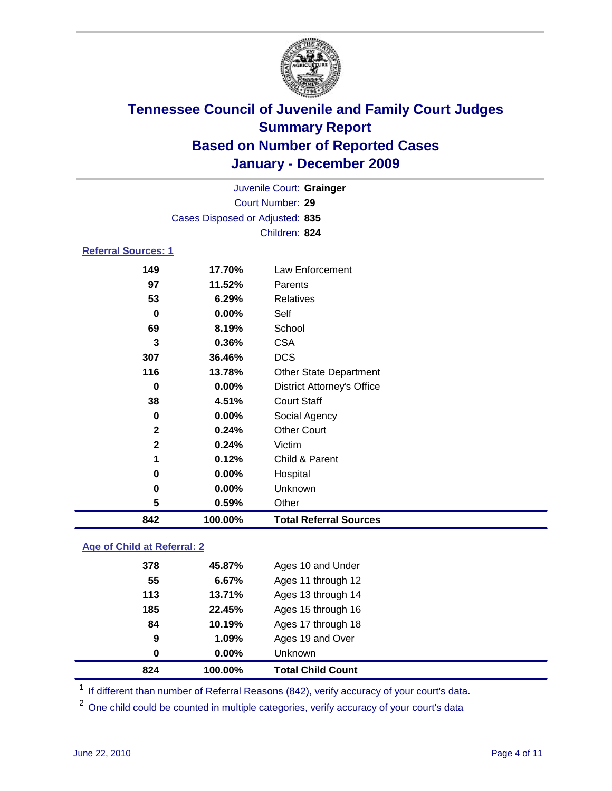

| Juvenile Court: Grainger   |                                 |                                   |  |  |  |
|----------------------------|---------------------------------|-----------------------------------|--|--|--|
|                            | Court Number: 29                |                                   |  |  |  |
|                            | Cases Disposed or Adjusted: 835 |                                   |  |  |  |
|                            | Children: 824                   |                                   |  |  |  |
| <b>Referral Sources: 1</b> |                                 |                                   |  |  |  |
| 149                        | 17.70%                          | Law Enforcement                   |  |  |  |
| 97                         | 11.52%                          | Parents                           |  |  |  |
| 53                         | 6.29%                           | <b>Relatives</b>                  |  |  |  |
| $\bf{0}$                   | $0.00\%$                        | Self                              |  |  |  |
| 69                         | 8.19%                           | School                            |  |  |  |
| 3                          | 0.36%                           | <b>CSA</b>                        |  |  |  |
| 307                        | 36.46%                          | <b>DCS</b>                        |  |  |  |
| 116                        | 13.78%                          | <b>Other State Department</b>     |  |  |  |
| 0                          | 0.00%                           | <b>District Attorney's Office</b> |  |  |  |
| 38                         | 4.51%                           | <b>Court Staff</b>                |  |  |  |
| 0                          | $0.00\%$                        | Social Agency                     |  |  |  |
| $\mathbf{2}$               | 0.24%                           | <b>Other Court</b>                |  |  |  |
| $\mathbf{2}$               | 0.24%                           | Victim                            |  |  |  |
| 1                          | 0.12%                           | Child & Parent                    |  |  |  |
| 0                          | 0.00%                           | Hospital                          |  |  |  |
| 0                          | $0.00\%$                        | Unknown                           |  |  |  |
| 5                          | 0.59%                           | Other                             |  |  |  |
| 842                        | 100.00%                         | <b>Total Referral Sources</b>     |  |  |  |

### **Age of Child at Referral: 2**

| 9<br>0 | 1.09%<br>0.00% | Ages 19 and Over<br><b>Unknown</b> |  |
|--------|----------------|------------------------------------|--|
|        |                |                                    |  |
|        |                |                                    |  |
|        |                | Ages 17 through 18                 |  |
| 185    | 22.45%         | Ages 15 through 16                 |  |
| 113    | 13.71%         | Ages 13 through 14                 |  |
| 55     | 6.67%          | Ages 11 through 12                 |  |
| 378    | 45.87%         | Ages 10 and Under                  |  |
|        |                | 84<br>10.19%                       |  |

<sup>1</sup> If different than number of Referral Reasons (842), verify accuracy of your court's data.

<sup>2</sup> One child could be counted in multiple categories, verify accuracy of your court's data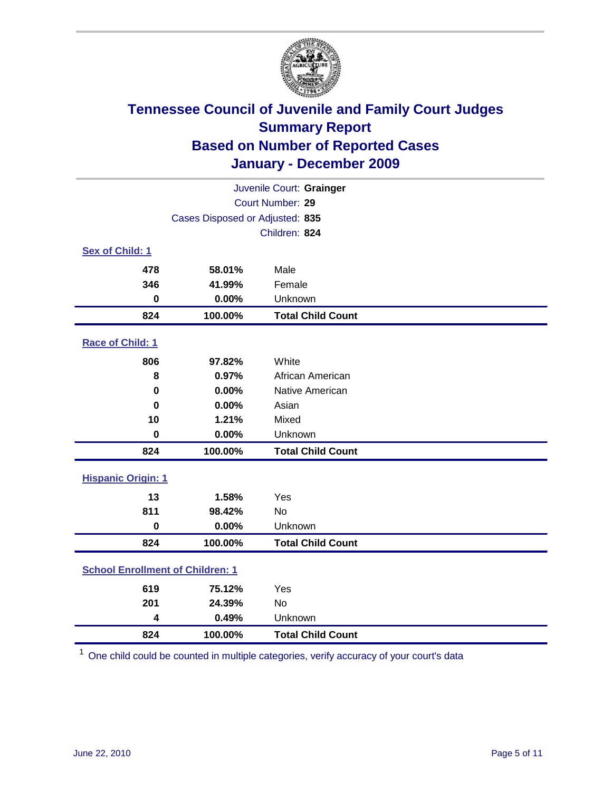

| Juvenile Court: Grainger                |                                 |                          |  |  |
|-----------------------------------------|---------------------------------|--------------------------|--|--|
| Court Number: 29                        |                                 |                          |  |  |
|                                         | Cases Disposed or Adjusted: 835 |                          |  |  |
|                                         |                                 | Children: 824            |  |  |
| Sex of Child: 1                         |                                 |                          |  |  |
| 478                                     | 58.01%                          | Male                     |  |  |
| 346                                     | 41.99%                          | Female                   |  |  |
| $\mathbf 0$                             | 0.00%                           | Unknown                  |  |  |
| 824                                     | 100.00%                         | <b>Total Child Count</b> |  |  |
| Race of Child: 1                        |                                 |                          |  |  |
| 806                                     | 97.82%                          | White                    |  |  |
| 8                                       | 0.97%                           | African American         |  |  |
| $\mathbf 0$                             | 0.00%                           | Native American          |  |  |
| $\bf{0}$                                | 0.00%                           | Asian                    |  |  |
| 10                                      | 1.21%                           | Mixed                    |  |  |
| $\mathbf 0$                             | 0.00%                           | Unknown                  |  |  |
| 824                                     | 100.00%                         | <b>Total Child Count</b> |  |  |
| <b>Hispanic Origin: 1</b>               |                                 |                          |  |  |
| 13                                      | 1.58%                           | Yes                      |  |  |
| 811                                     | 98.42%                          | No                       |  |  |
| $\mathbf 0$                             | 0.00%                           | Unknown                  |  |  |
| 824                                     | 100.00%                         | <b>Total Child Count</b> |  |  |
| <b>School Enrollment of Children: 1</b> |                                 |                          |  |  |
| 619                                     | 75.12%                          | Yes                      |  |  |
| 201                                     | 24.39%                          | No                       |  |  |
| 4                                       | 0.49%                           | Unknown                  |  |  |
| 824                                     | 100.00%                         | <b>Total Child Count</b> |  |  |

One child could be counted in multiple categories, verify accuracy of your court's data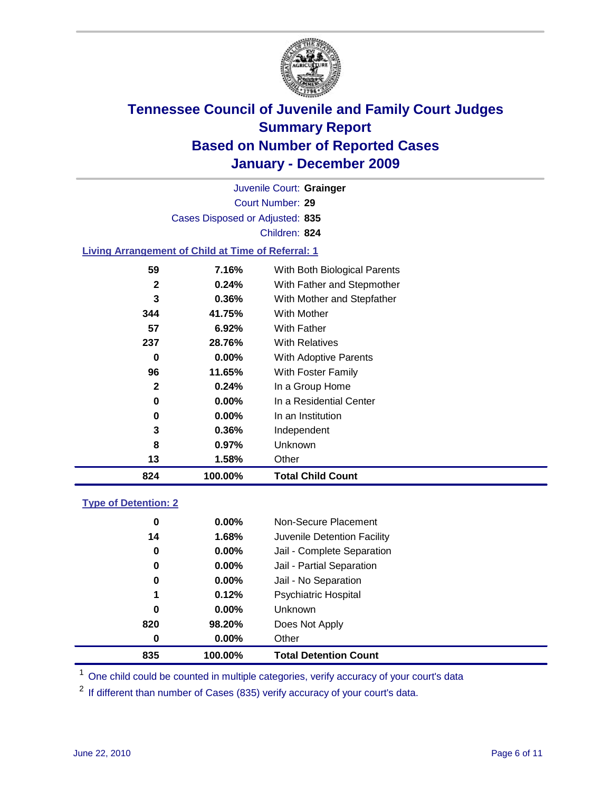

Court Number: **29** Juvenile Court: **Grainger** Cases Disposed or Adjusted: **835** Children: **824**

#### **Living Arrangement of Child at Time of Referral: 1**

| 824 | 100.00%  | <b>Total Child Count</b>     |
|-----|----------|------------------------------|
| 13  | 1.58%    | Other                        |
| 8   | 0.97%    | Unknown                      |
| 3   | 0.36%    | Independent                  |
| 0   | 0.00%    | In an Institution            |
| 0   | $0.00\%$ | In a Residential Center      |
| 2   | 0.24%    | In a Group Home              |
| 96  | 11.65%   | With Foster Family           |
| 0   | 0.00%    | With Adoptive Parents        |
| 237 | 28.76%   | <b>With Relatives</b>        |
| 57  | 6.92%    | With Father                  |
| 344 | 41.75%   | With Mother                  |
| 3   | 0.36%    | With Mother and Stepfather   |
| 2   | 0.24%    | With Father and Stepmother   |
| 59  | 7.16%    | With Both Biological Parents |
|     |          |                              |

#### **Type of Detention: 2**

| 835 | 100.00%  | <b>Total Detention Count</b> |  |
|-----|----------|------------------------------|--|
| 0   | 0.00%    | Other                        |  |
| 820 | 98.20%   | Does Not Apply               |  |
| 0   | $0.00\%$ | <b>Unknown</b>               |  |
| 1   | 0.12%    | Psychiatric Hospital         |  |
| 0   | 0.00%    | Jail - No Separation         |  |
| 0   | $0.00\%$ | Jail - Partial Separation    |  |
| 0   | $0.00\%$ | Jail - Complete Separation   |  |
| 14  | 1.68%    | Juvenile Detention Facility  |  |
| 0   | $0.00\%$ | Non-Secure Placement         |  |
|     |          |                              |  |

<sup>1</sup> One child could be counted in multiple categories, verify accuracy of your court's data

<sup>2</sup> If different than number of Cases (835) verify accuracy of your court's data.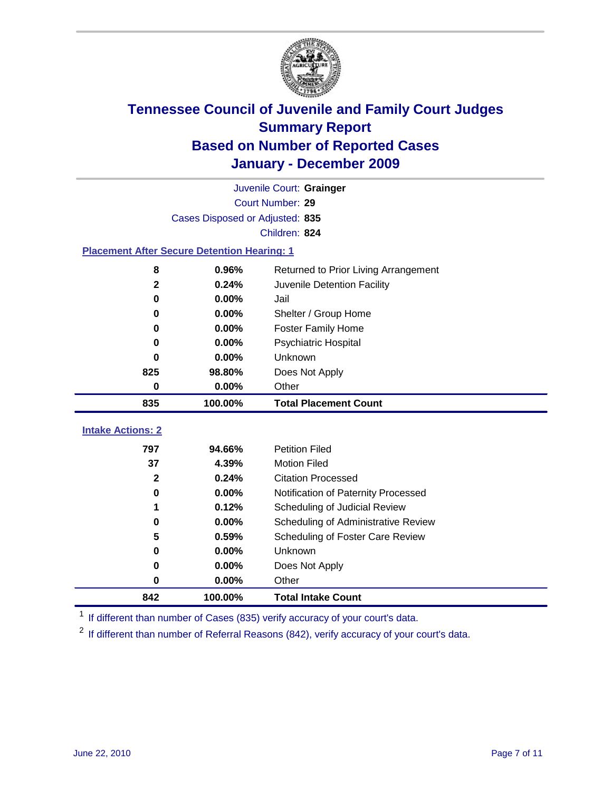

|                          | Juvenile Court: Grainger                           |                                      |  |  |  |  |
|--------------------------|----------------------------------------------------|--------------------------------------|--|--|--|--|
|                          | Court Number: 29                                   |                                      |  |  |  |  |
|                          | Cases Disposed or Adjusted: 835                    |                                      |  |  |  |  |
|                          | Children: 824                                      |                                      |  |  |  |  |
|                          | <b>Placement After Secure Detention Hearing: 1</b> |                                      |  |  |  |  |
| 8                        | 0.96%                                              | Returned to Prior Living Arrangement |  |  |  |  |
| $\mathbf{2}$             | 0.24%                                              | Juvenile Detention Facility          |  |  |  |  |
| $\bf{0}$                 | 0.00%                                              | Jail                                 |  |  |  |  |
| $\bf{0}$                 | 0.00%                                              | Shelter / Group Home                 |  |  |  |  |
| 0                        | 0.00%                                              | <b>Foster Family Home</b>            |  |  |  |  |
| 0                        | 0.00%                                              | Psychiatric Hospital                 |  |  |  |  |
| U                        | 0.00%                                              | Unknown                              |  |  |  |  |
| 825                      | 98.80%                                             | Does Not Apply                       |  |  |  |  |
| $\mathbf 0$              | 0.00%                                              | Other                                |  |  |  |  |
| 835                      | 100.00%                                            | <b>Total Placement Count</b>         |  |  |  |  |
| <b>Intake Actions: 2</b> |                                                    |                                      |  |  |  |  |
|                          |                                                    |                                      |  |  |  |  |
| 797                      | 94.66%                                             | <b>Petition Filed</b>                |  |  |  |  |
| 37                       | 4.39%                                              | <b>Motion Filed</b>                  |  |  |  |  |
| $\mathbf{2}$             | 0.24%                                              | <b>Citation Processed</b>            |  |  |  |  |
| 0                        | 0.00%                                              | Notification of Paternity Processed  |  |  |  |  |
| 1                        | 0.12%                                              | Scheduling of Judicial Review        |  |  |  |  |
| $\bf{0}$                 | 0.00%                                              | Scheduling of Administrative Review  |  |  |  |  |
| 5                        | 0.59%                                              | Scheduling of Foster Care Review     |  |  |  |  |
| $\bf{0}$                 | 0.00%                                              | Unknown                              |  |  |  |  |
| 0                        | 0.00%                                              | Does Not Apply                       |  |  |  |  |
| $\pmb{0}$                | 0.00%                                              | Other                                |  |  |  |  |
| 842                      | 100.00%                                            | <b>Total Intake Count</b>            |  |  |  |  |

<sup>1</sup> If different than number of Cases (835) verify accuracy of your court's data.

<sup>2</sup> If different than number of Referral Reasons (842), verify accuracy of your court's data.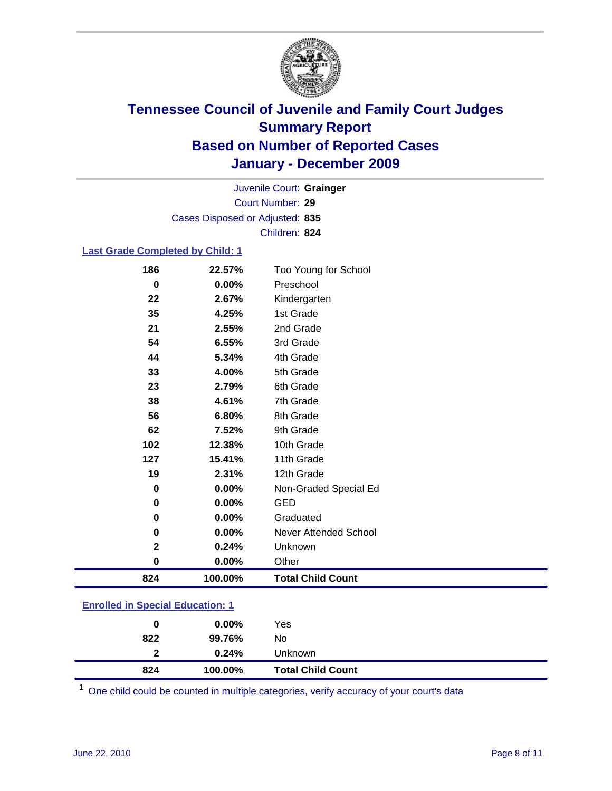

Court Number: **29** Juvenile Court: **Grainger** Cases Disposed or Adjusted: **835** Children: **824**

#### **Last Grade Completed by Child: 1**

| 824         | 100.00%        | <b>Total Child Count</b>          |
|-------------|----------------|-----------------------------------|
| $\pmb{0}$   | 0.00%          | Other                             |
| $\mathbf 2$ | 0.24%          | Unknown                           |
| 0           | 0.00%          | Never Attended School             |
| 0           | 0.00%          | Graduated                         |
| 0           | 0.00%          | <b>GED</b>                        |
| 0           | 0.00%          | Non-Graded Special Ed             |
| 19          | 2.31%          | 12th Grade                        |
| 127         | 15.41%         | 11th Grade                        |
| 102         | 12.38%         | 10th Grade                        |
| 62          | 7.52%          | 9th Grade                         |
| 56          | 6.80%          | 8th Grade                         |
| 38          | 4.61%          | 7th Grade                         |
| 23          | 2.79%          | 6th Grade                         |
| 33          | 4.00%          | 5th Grade                         |
| 44          | 5.34%          | 4th Grade                         |
| 54          | 6.55%          | 3rd Grade                         |
| 21          | 2.55%          | 2nd Grade                         |
| 35          | 4.25%          | 1st Grade                         |
| 0<br>22     | 0.00%<br>2.67% | Kindergarten                      |
| 186         | 22.57%         | Too Young for School<br>Preschool |

| 824                                       | 100.00%  | <b>Total Child Count</b> |  |  |
|-------------------------------------------|----------|--------------------------|--|--|
| $\mathbf{2}$                              | 0.24%    | Unknown                  |  |  |
| 822                                       | 99.76%   | No                       |  |  |
| 0                                         | $0.00\%$ | Yes                      |  |  |
| <u>Lillolled III opecial Ludcation. T</u> |          |                          |  |  |

One child could be counted in multiple categories, verify accuracy of your court's data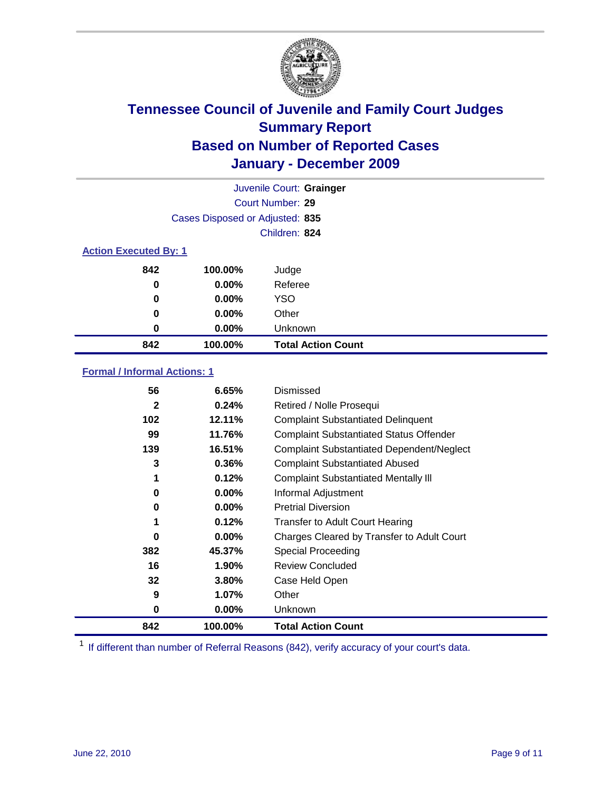

| Juvenile Court: Grainger     |                                 |                           |  |  |  |
|------------------------------|---------------------------------|---------------------------|--|--|--|
|                              | <b>Court Number: 29</b>         |                           |  |  |  |
|                              | Cases Disposed or Adjusted: 835 |                           |  |  |  |
|                              |                                 | Children: 824             |  |  |  |
| <b>Action Executed By: 1</b> |                                 |                           |  |  |  |
| 842                          | 100.00%                         | Judge                     |  |  |  |
| 0                            | $0.00\%$                        | Referee                   |  |  |  |
| $\bf{0}$                     | 0.00%                           | <b>YSO</b>                |  |  |  |
| 0                            | $0.00\%$                        | Other                     |  |  |  |
| 0                            | 0.00%                           | Unknown                   |  |  |  |
| 842                          | 100.00%                         | <b>Total Action Count</b> |  |  |  |

### **Formal / Informal Actions: 1**

| 842          | 100.00%  | <b>Total Action Count</b>                        |
|--------------|----------|--------------------------------------------------|
| 0            | $0.00\%$ | <b>Unknown</b>                                   |
| 9            | 1.07%    | Other                                            |
| 32           | 3.80%    | Case Held Open                                   |
| 16           | 1.90%    | <b>Review Concluded</b>                          |
| 382          | 45.37%   | Special Proceeding                               |
| 0            | $0.00\%$ | Charges Cleared by Transfer to Adult Court       |
|              | 0.12%    | <b>Transfer to Adult Court Hearing</b>           |
| 0            | $0.00\%$ | <b>Pretrial Diversion</b>                        |
| 0            | $0.00\%$ | Informal Adjustment                              |
| 1            | 0.12%    | <b>Complaint Substantiated Mentally III</b>      |
| 3            | 0.36%    | <b>Complaint Substantiated Abused</b>            |
| 139          | 16.51%   | <b>Complaint Substantiated Dependent/Neglect</b> |
| 99           | 11.76%   | <b>Complaint Substantiated Status Offender</b>   |
| 102          | 12.11%   | <b>Complaint Substantiated Delinquent</b>        |
| $\mathbf{2}$ | 0.24%    | Retired / Nolle Prosequi                         |
| 56           | 6.65%    | Dismissed                                        |
|              |          |                                                  |

<sup>1</sup> If different than number of Referral Reasons (842), verify accuracy of your court's data.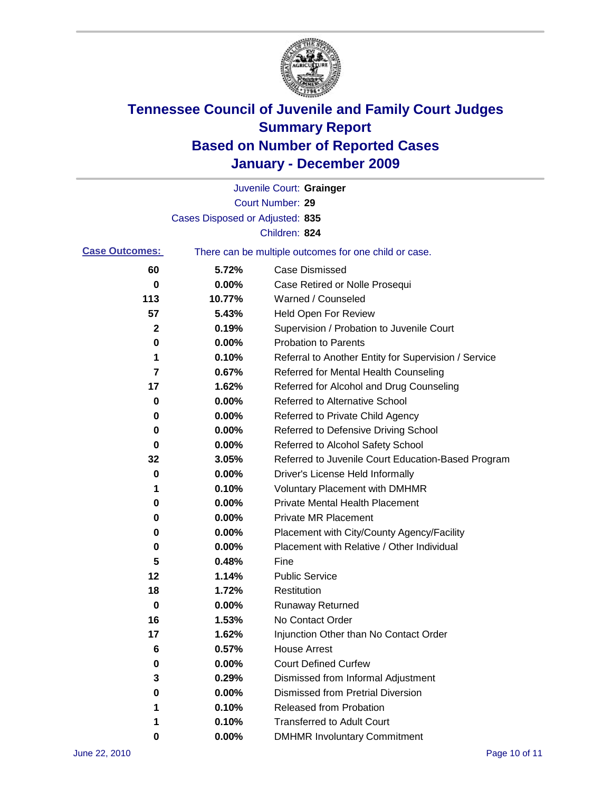

|                       |                                 | Juvenile Court: Grainger                              |
|-----------------------|---------------------------------|-------------------------------------------------------|
|                       |                                 | Court Number: 29                                      |
|                       | Cases Disposed or Adjusted: 835 |                                                       |
|                       |                                 | Children: 824                                         |
| <b>Case Outcomes:</b> |                                 | There can be multiple outcomes for one child or case. |
| 60                    | 5.72%                           | <b>Case Dismissed</b>                                 |
| 0                     | 0.00%                           | Case Retired or Nolle Prosequi                        |
| 113                   | 10.77%                          | Warned / Counseled                                    |
| 57                    | 5.43%                           | <b>Held Open For Review</b>                           |
| 2                     | 0.19%                           | Supervision / Probation to Juvenile Court             |
| 0                     | 0.00%                           | <b>Probation to Parents</b>                           |
| 1                     | 0.10%                           | Referral to Another Entity for Supervision / Service  |
| 7                     | 0.67%                           | Referred for Mental Health Counseling                 |
| 17                    | 1.62%                           | Referred for Alcohol and Drug Counseling              |
| 0                     | 0.00%                           | Referred to Alternative School                        |
| 0                     | 0.00%                           | Referred to Private Child Agency                      |
| 0                     | 0.00%                           | Referred to Defensive Driving School                  |
| 0                     | 0.00%                           | Referred to Alcohol Safety School                     |
| 32                    | 3.05%                           | Referred to Juvenile Court Education-Based Program    |
| 0                     | 0.00%                           | Driver's License Held Informally                      |
| 1                     | 0.10%                           | <b>Voluntary Placement with DMHMR</b>                 |
| 0                     | 0.00%                           | <b>Private Mental Health Placement</b>                |
| 0                     | 0.00%                           | <b>Private MR Placement</b>                           |
| 0                     | 0.00%                           | Placement with City/County Agency/Facility            |
| 0                     | 0.00%                           | Placement with Relative / Other Individual            |
| 5                     | 0.48%                           | Fine                                                  |
| 12                    | 1.14%                           | <b>Public Service</b>                                 |
| 18                    | 1.72%                           | Restitution                                           |
| 0                     | 0.00%                           | Runaway Returned                                      |
| 16                    | 1.53%                           | No Contact Order                                      |
| 17                    | 1.62%                           | Injunction Other than No Contact Order                |
| 6                     | 0.57%                           | <b>House Arrest</b>                                   |
| 0                     | 0.00%                           | <b>Court Defined Curfew</b>                           |
| 3                     | 0.29%                           | Dismissed from Informal Adjustment                    |
| 0                     | 0.00%                           | <b>Dismissed from Pretrial Diversion</b>              |
| 1                     | 0.10%                           | Released from Probation                               |
| 1                     | 0.10%                           | <b>Transferred to Adult Court</b>                     |
| 0                     | 0.00%                           | <b>DMHMR Involuntary Commitment</b>                   |